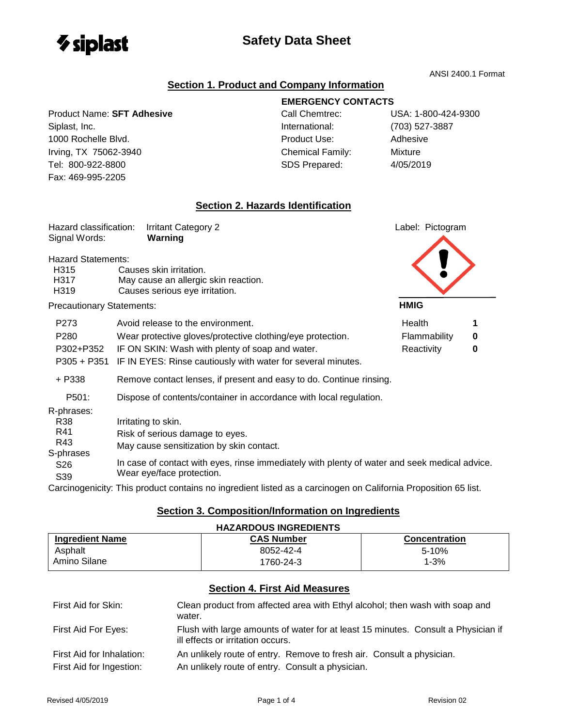

Fax: 469-995-2205

# **Safety Data Sheet**

ANSI 2400.1 Format

### **Section 1. Product and Company Information**

### Product Name: **SFT Adhesive** Call Chemtrec: USA: 1-800-424-9300 Siplast, Inc. Siplast, Inc. Siplast, International: (703) 527-3887 1000 Rochelle Blvd. Product Use: Adhesive Irving, TX 75062-3940 Chemical Family: Mixture

## **EMERGENCY CONTACTS**

Tel: 800-922-8800 SDS Prepared: 4/05/2019

## **Section 2. Hazards Identification**

| Hazard classification:<br>Signal Words:                                               | <b>Irritant Category 2</b><br>Warning                                                                                                                                                                                            | Label: Pictogram                     |        |
|---------------------------------------------------------------------------------------|----------------------------------------------------------------------------------------------------------------------------------------------------------------------------------------------------------------------------------|--------------------------------------|--------|
| <b>Hazard Statements:</b><br>H315<br>H317<br>H319<br><b>Precautionary Statements:</b> | Causes skin irritation.<br>May cause an allergic skin reaction.<br>Causes serious eye irritation.                                                                                                                                | <b>HMIG</b>                          |        |
| P273<br>P280<br>P302+P352<br>$P305 + P351$                                            | Avoid release to the environment.<br>Wear protective gloves/protective clothing/eye protection.<br>IF ON SKIN: Wash with plenty of soap and water.<br>IF IN EYES: Rinse cautiously with water for several minutes.               | Health<br>Flammability<br>Reactivity | 0<br>0 |
| + P338<br>P501:                                                                       | Remove contact lenses, if present and easy to do. Continue rinsing.<br>Dispose of contents/container in accordance with local regulation.                                                                                        |                                      |        |
| R-phrases:<br>R38<br>R41<br>R43<br>S-phrases<br>S <sub>26</sub><br>S39                | Irritating to skin.<br>Risk of serious damage to eyes.<br>May cause sensitization by skin contact.<br>In case of contact with eyes, rinse immediately with plenty of water and seek medical advice.<br>Wear eye/face protection. |                                      |        |

Carcinogenicity: This product contains no ingredient listed as a carcinogen on California Proposition 65 list.

#### **Section 3. Composition/Information on Ingredients**

| <b>HAZARDOUS INGREDIENTS</b>         |                                                                                                                        |                      |
|--------------------------------------|------------------------------------------------------------------------------------------------------------------------|----------------------|
| <b>Ingredient Name</b>               | <b>CAS Number</b>                                                                                                      | <b>Concentration</b> |
| Asphalt                              | 8052-42-4                                                                                                              | $5 - 10%$            |
| Amino Silane                         | 1760-24-3                                                                                                              | $1 - 3%$             |
| <b>Section 4. First Aid Measures</b> |                                                                                                                        |                      |
| First Aid for Skin:                  | Clean product from affected area with Ethyl alcohol; then wash with soap and<br>water.                                 |                      |
| First Aid For Eyes:                  | Flush with large amounts of water for at least 15 minutes. Consult a Physician if<br>ill effects or irritation occurs. |                      |
| First Aid for Inhalation:            | An unlikely route of entry. Remove to fresh air. Consult a physician.                                                  |                      |
| First Aid for Ingestion:             | An unlikely route of entry. Consult a physician.                                                                       |                      |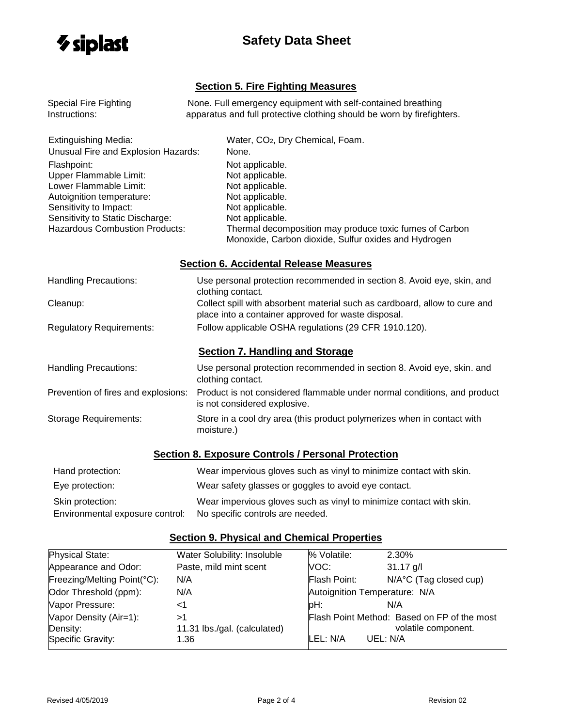

# **Safety Data Sheet**

### **Section 5. Fire Fighting Measures**

| <b>Special Fire Fighting</b>          | None. Full emergency equipment with self-contained breathing                                                                      |
|---------------------------------------|-----------------------------------------------------------------------------------------------------------------------------------|
| Instructions:                         | apparatus and full protective clothing should be worn by firefighters.                                                            |
| <b>Extinguishing Media:</b>           | Water, CO <sub>2</sub> , Dry Chemical, Foam.                                                                                      |
| Unusual Fire and Explosion Hazards:   | None.                                                                                                                             |
| Flashpoint:                           | Not applicable.                                                                                                                   |
| Upper Flammable Limit:                | Not applicable.                                                                                                                   |
| Lower Flammable Limit:                | Not applicable.                                                                                                                   |
| Autoignition temperature:             | Not applicable.                                                                                                                   |
| Sensitivity to Impact:                | Not applicable.                                                                                                                   |
| Sensitivity to Static Discharge:      | Not applicable.                                                                                                                   |
| <b>Hazardous Combustion Products:</b> | Thermal decomposition may produce toxic fumes of Carbon<br>Monoxide, Carbon dioxide, Sulfur oxides and Hydrogen                   |
|                                       | <b>Section 6. Accidental Release Measures</b>                                                                                     |
| <b>Handling Precautions:</b>          | Use personal protection recommended in section 8. Avoid eye, skin, and<br>clothing contact.                                       |
| Cleanup:                              | Collect spill with absorbent material such as cardboard, allow to cure and<br>place into a container approved for waste disposal. |
| <b>Regulatory Requirements:</b>       | Follow applicable OSHA regulations (29 CFR 1910.120).                                                                             |
|                                       | <b>Section 7. Handling and Storage</b>                                                                                            |
| <b>Handling Precautions:</b>          | Use personal protection recommended in section 8. Avoid eye, skin. and<br>clothing contact.                                       |
| Prevention of fires and explosions:   | Product is not considered flammable under normal conditions, and product<br>is not considered explosive.                          |
| <b>Storage Requirements:</b>          | Store in a cool dry area (this product polymerizes when in contact with<br>moisture.)                                             |
|                                       | <b>Section 8. Exposure Controls / Personal Protection</b>                                                                         |
| Hand protection:                      | Wear impervious gloves such as vinyl to minimize contact with skin.                                                               |

|                                 | These importances give so basic as virry to minimize somast mun situati |
|---------------------------------|-------------------------------------------------------------------------|
| Eye protection:                 | Wear safety glasses or goggles to avoid eye contact.                    |
| Skin protection:                | Wear impervious gloves such as vinyl to minimize contact with skin.     |
| Environmental exposure control: | No specific controls are needed.                                        |

# **Section 9. Physical and Chemical Properties**

| Physical State:             | Water Solubility: Insoluble  | % Volatile:  | 2.30%                                       |
|-----------------------------|------------------------------|--------------|---------------------------------------------|
| Appearance and Odor:        | Paste, mild mint scent       | VOC:         | $31.17$ g/l                                 |
| Freezing/Melting Point(°C): | N/A                          | Flash Point: | $N/A^{\circ}C$ (Tag closed cup)             |
| Odor Threshold (ppm):       | N/A                          |              | Autoignition Temperature: N/A               |
| Vapor Pressure:             | ا>                           | pH:          | N/A                                         |
| Vapor Density (Air=1):      | >1                           |              | Flash Point Method: Based on FP of the most |
| Density:                    | 11.31 lbs./gal. (calculated) |              | volatile component.                         |
| Specific Gravity:           | 1.36                         | LEL: N/A     | UEL: N/A                                    |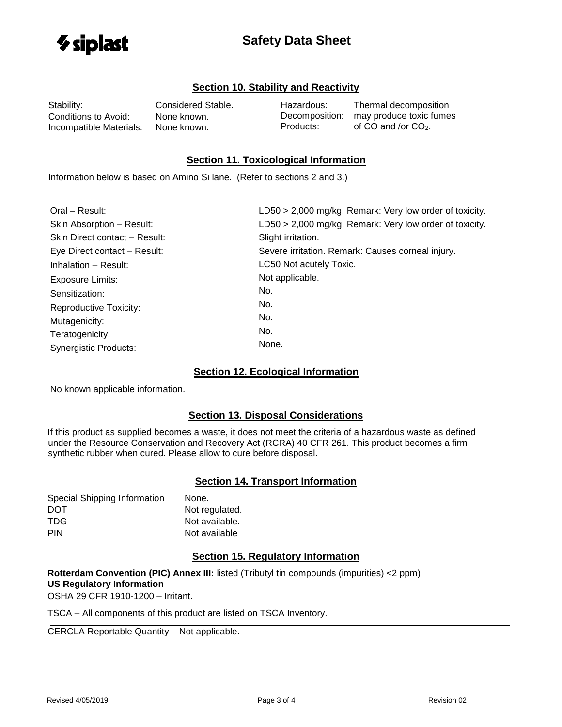

# **Safety Data Sheet**

#### **Section 10. Stability and Reactivity**

Stability: Considered Stable. Conditions to Avoid: None known. Incompatible Materials: None known.

Hazardous: Thermal decomposition Decomposition: may produce toxic fumes Products:  $\qquad \qquad$  of CO and /or CO<sub>2</sub>.

#### **Section 11. Toxicological Information**

Information below is based on Amino Si lane. (Refer to sections 2 and 3.)

| Oral - Result:                | LD50 > 2,000 mg/kg. Remark: Very low order of toxicity. |
|-------------------------------|---------------------------------------------------------|
| Skin Absorption - Result:     | LD50 > 2,000 mg/kg. Remark: Very low order of toxicity. |
| Skin Direct contact - Result: | Slight irritation.                                      |
| Eye Direct contact - Result:  | Severe irritation. Remark: Causes corneal injury.       |
| Inhalation - Result:          | LC50 Not acutely Toxic.                                 |
| <b>Exposure Limits:</b>       | Not applicable.                                         |
| Sensitization:                | No.                                                     |
| <b>Reproductive Toxicity:</b> | No.                                                     |
| Mutagenicity:                 | No.                                                     |
| Teratogenicity:               | No.                                                     |
| <b>Synergistic Products:</b>  | None.                                                   |

#### **Section 12. Ecological Information**

No known applicable information.

#### **Section 13. Disposal Considerations**

If this product as supplied becomes a waste, it does not meet the criteria of a hazardous waste as defined under the Resource Conservation and Recovery Act (RCRA) 40 CFR 261. This product becomes a firm synthetic rubber when cured. Please allow to cure before disposal.

#### **Section 14. Transport Information**

| Special Shipping Information | None.          |
|------------------------------|----------------|
| DOT                          | Not regulated. |
| TDG.                         | Not available. |
| <b>PIN</b>                   | Not available  |

#### **Section 15. Regulatory Information**

**Rotterdam Convention (PIC) Annex III:** listed (Tributyl tin compounds (impurities) <2 ppm) **US Regulatory Information**

OSHA 29 CFR 1910-1200 – Irritant.

TSCA – All components of this product are listed on TSCA Inventory.

CERCLA Reportable Quantity – Not applicable.